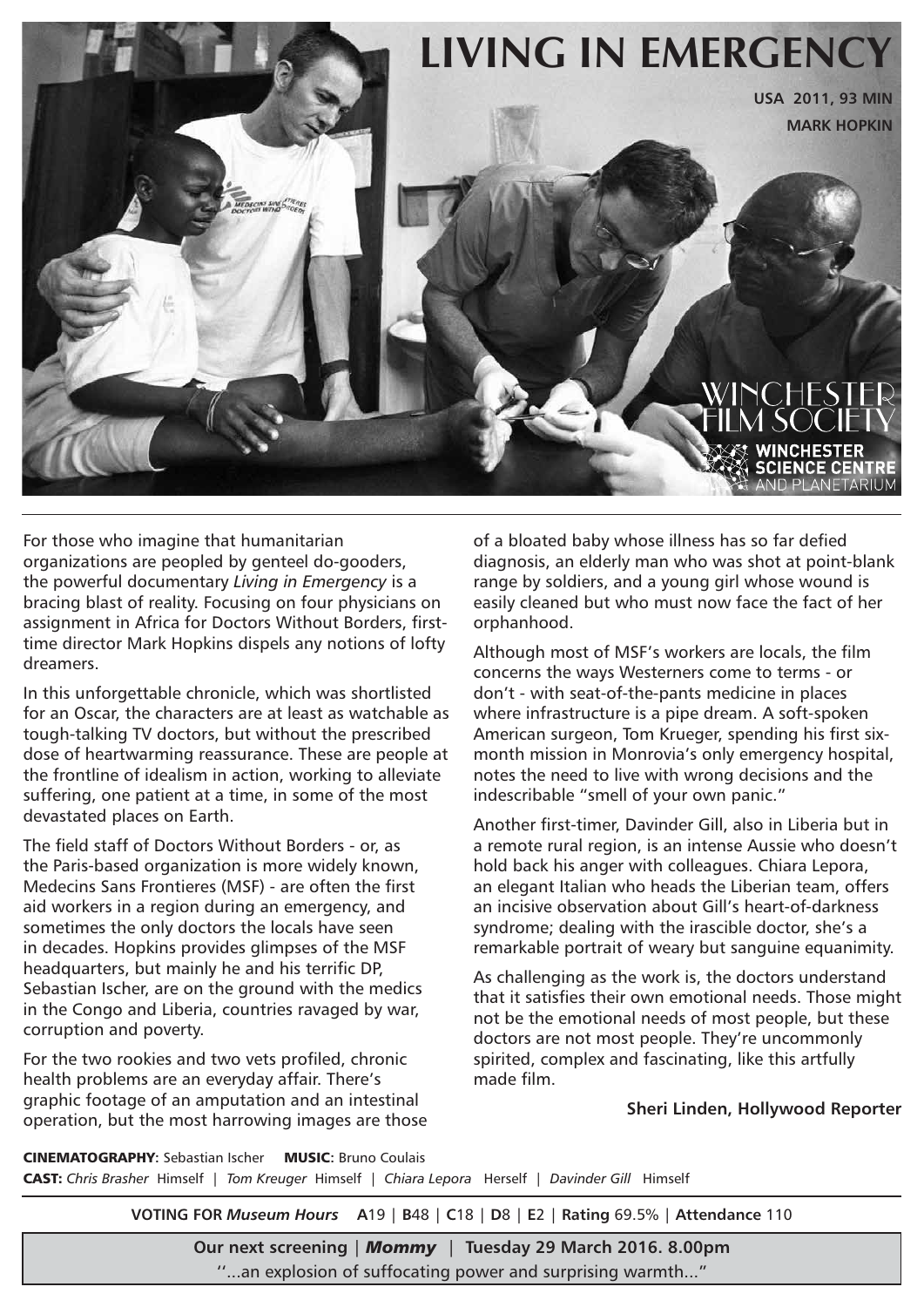

For those who imagine that humanitarian organizations are peopled by genteel do-gooders, the powerful documentary *Living in Emergency* is a bracing blast of reality. Focusing on four physicians on assignment in Africa for Doctors Without Borders, firsttime director Mark Hopkins dispels any notions of lofty dreamers.

In this unforgettable chronicle, which was shortlisted for an Oscar, the characters are at least as watchable as tough-talking TV doctors, but without the prescribed dose of heartwarming reassurance. These are people at the frontline of idealism in action, working to alleviate suffering, one patient at a time, in some of the most devastated places on Earth.

The field staff of Doctors Without Borders - or, as the Paris-based organization is more widely known, Medecins Sans Frontieres (MSF) - are often the first aid workers in a region during an emergency, and sometimes the only doctors the locals have seen in decades. Hopkins provides glimpses of the MSF headquarters, but mainly he and his terrific DP, Sebastian Ischer, are on the ground with the medics in the Congo and Liberia, countries ravaged by war, corruption and poverty.

For the two rookies and two vets profiled, chronic health problems are an everyday affair. There's graphic footage of an amputation and an intestinal operation, but the most harrowing images are those of a bloated baby whose illness has so far defied diagnosis, an elderly man who was shot at point-blank range by soldiers, and a young girl whose wound is easily cleaned but who must now face the fact of her orphanhood.

Although most of MSF's workers are locals, the film concerns the ways Westerners come to terms - or don't - with seat-of-the-pants medicine in places where infrastructure is a pipe dream. A soft-spoken American surgeon, Tom Krueger, spending his first sixmonth mission in Monrovia's only emergency hospital, notes the need to live with wrong decisions and the indescribable "smell of your own panic."

Another first-timer, Davinder Gill, also in Liberia but in a remote rural region, is an intense Aussie who doesn't hold back his anger with colleagues. Chiara Lepora, an elegant Italian who heads the Liberian team, offers an incisive observation about Gill's heart-of-darkness syndrome; dealing with the irascible doctor, she's a remarkable portrait of weary but sanguine equanimity.

As challenging as the work is, the doctors understand that it satisfies their own emotional needs. Those might not be the emotional needs of most people, but these doctors are not most people. They're uncommonly spirited, complex and fascinating, like this artfully made film.

**Sheri Linden, Hollywood Reporter**

CINEMATOGRAPHY**:** Sebastian Ischer MUSIC**:** Bruno Coulais CAST: *Chris Brasher* Himself | *Tom Kreuger* Himself | *Chiara Lepora* Herself | *Davinder Gill* Himself

**VOTING FOR** *Museum Hours* **A**19 | **B**48 | **C**18 | **D**8 | **E**2 | **Rating** 69.5% | **Attendance** 110

**Our next screening** | *Mommy* | **Tuesday 29 March 2016. 8.00pm** ''...an explosion of suffocating power and surprising warmth..."